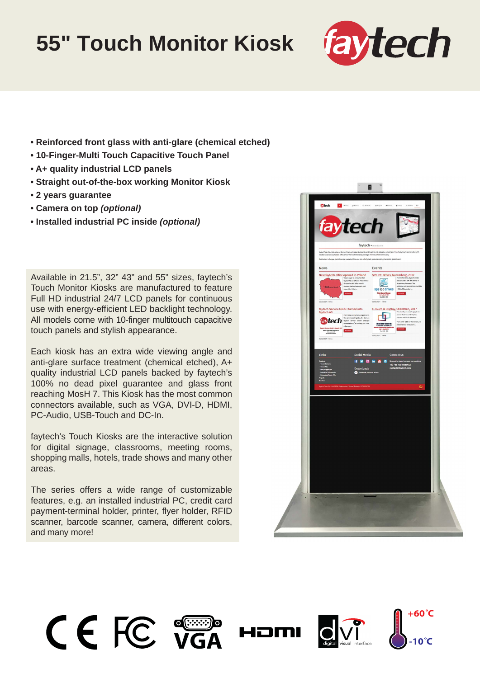## **55" Touch Monitor Kiosk**



- **Reinforced front glass with anti-glare (chemical etched)**
- **10-Finger-Multi Touch Capacitive Touch Panel**
- **A+ quality industrial LCD panels**
- **Straight out-of-the-box working Monitor Kiosk**
- **2 years guarantee**
- **Camera on top** *(optional)*
- **Installed industrial PC inside** *(optional)*

Available in 21.5", 32" 43" and 55" sizes, faytech's Touch Monitor Kiosks are manufactured to feature Full HD industrial 24/7 LCD panels for continuous use with energy-efficient LED backlight technology. All models come with 10-finger multitouch capacitive touch panels and stylish appearance.

Each kiosk has an extra wide viewing angle and anti-glare surface treatment (chemical etched), A+ quality industrial LCD panels backed by faytech's 100% no dead pixel guarantee and glass front reaching MosH 7. This Kiosk has the most common connectors available, such as VGA, DVI-D, HDMI, PC-Audio, USB-Touch and DC-In.

faytech's Touch Kiosks are the interactive solution for digital signage, classrooms, meeting rooms, shopping malls, hotels, trade shows and many other areas.

The series offers a wide range of customizable features, e.g. an installed industrial PC, credit card payment-terminal holder, printer, flyer holder, RFID scanner, barcode scanner, camera, different colors, and many more!